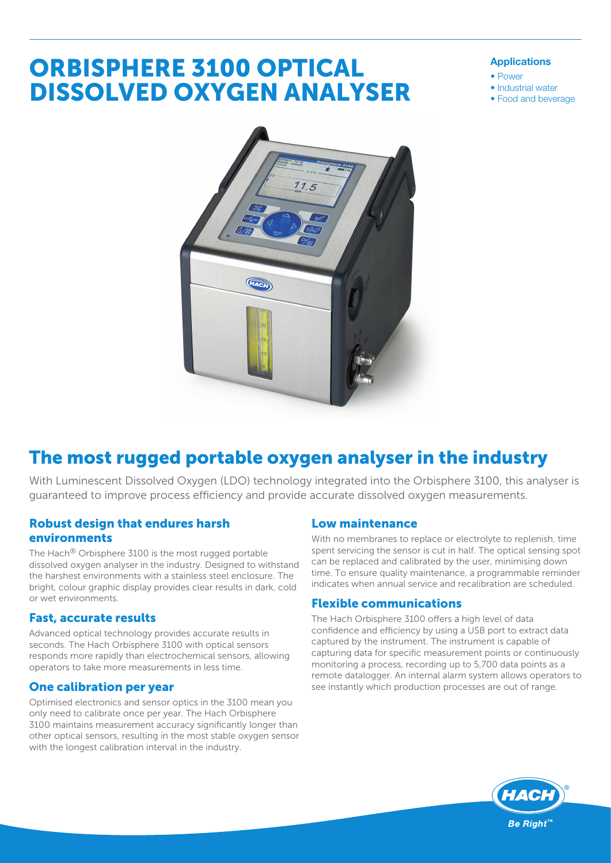# ORBISPHERE 3100 OPTICAL DISSOLVED OXYGEN ANALYSER

#### Applications

- Power
- Industrial water
- Food and beverage



## The most rugged portable oxygen analyser in the industry

With Luminescent Dissolved Oxygen (LDO) technology integrated into the Orbisphere 3100, this analyser is guaranteed to improve process efficiency and provide accurate dissolved oxygen measurements.

#### Robust design that endures harsh environments

The Hach® Orbisphere 3100 is the most rugged portable dissolved oxygen analyser in the industry. Designed to withstand the harshest environments with a stainless steel enclosure. The bright, colour graphic display provides clear results in dark, cold or wet environments.

#### Fast, accurate results

Advanced optical technology provides accurate results in seconds. The Hach Orbisphere 3100 with optical sensors responds more rapidly than electrochemical sensors, allowing operators to take more measurements in less time.

#### One calibration per year

Optimised electronics and sensor optics in the 3100 mean you only need to calibrate once per year. The Hach Orbisphere 3100 maintains measurement accuracy significantly longer than other optical sensors, resulting in the most stable oxygen sensor with the longest calibration interval in the industry.

#### Low maintenance

With no membranes to replace or electrolyte to replenish, time spent servicing the sensor is cut in half. The optical sensing spot can be replaced and calibrated by the user, minimising down time. To ensure quality maintenance, a programmable reminder indicates when annual service and recalibration are scheduled.

#### Flexible communications

The Hach Orbisphere 3100 offers a high level of data confidence and efficiency by using a USB port to extract data captured by the instrument. The instrument is capable of capturing data for specific measurement points or continuously monitoring a process, recording up to 5,700 data points as a remote datalogger. An internal alarm system allows operators to see instantly which production processes are out of range.